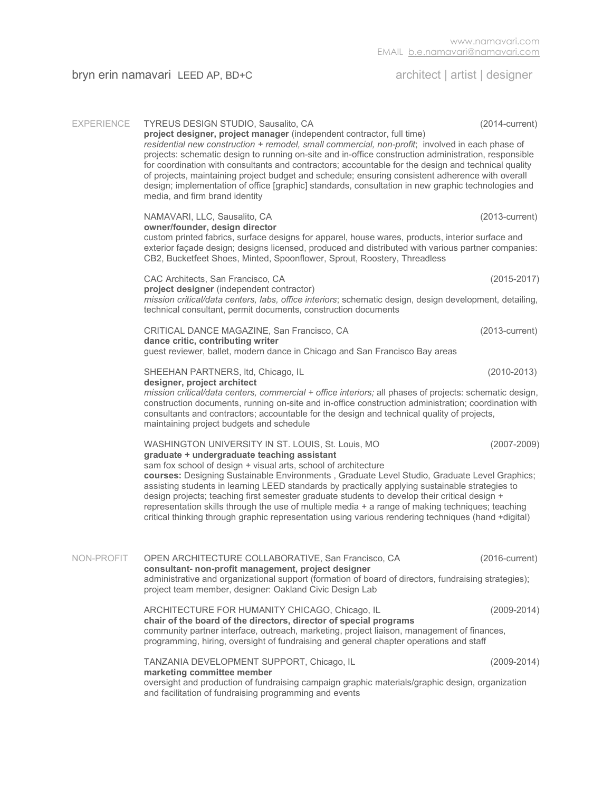## bryn erin namavari LEED AP, BD+C architect | artist | designer

| <b>EXPERIENCE</b> | TYREUS DESIGN STUDIO, Sausalito, CA<br>project designer, project manager (independent contractor, full time)<br>residential new construction + remodel, small commercial, non-profit; involved in each phase of<br>projects: schematic design to running on-site and in-office construction administration, responsible<br>for coordination with consultants and contractors; accountable for the design and technical quality<br>of projects, maintaining project budget and schedule; ensuring consistent adherence with overall<br>design; implementation of office [graphic] standards, consultation in new graphic technologies and<br>media, and firm brand identity                           | $(2014$ -current)                                                                                                                                                                                                           |  |  |
|-------------------|------------------------------------------------------------------------------------------------------------------------------------------------------------------------------------------------------------------------------------------------------------------------------------------------------------------------------------------------------------------------------------------------------------------------------------------------------------------------------------------------------------------------------------------------------------------------------------------------------------------------------------------------------------------------------------------------------|-----------------------------------------------------------------------------------------------------------------------------------------------------------------------------------------------------------------------------|--|--|
|                   | NAMAVARI, LLC, Sausalito, CA<br>owner/founder, design director<br>CB2, Bucketfeet Shoes, Minted, Spoonflower, Sprout, Roostery, Threadless                                                                                                                                                                                                                                                                                                                                                                                                                                                                                                                                                           | $(2013$ -current)<br>custom printed fabrics, surface designs for apparel, house wares, products, interior surface and<br>exterior façade design; designs licensed, produced and distributed with various partner companies: |  |  |
|                   | CAC Architects, San Francisco, CA<br>project designer (independent contractor)<br>mission critical/data centers, labs, office interiors; schematic design, design development, detailing,<br>technical consultant, permit documents, construction documents                                                                                                                                                                                                                                                                                                                                                                                                                                          | $(2015 - 2017)$                                                                                                                                                                                                             |  |  |
|                   | CRITICAL DANCE MAGAZINE, San Francisco, CA<br>dance critic, contributing writer<br>guest reviewer, ballet, modern dance in Chicago and San Francisco Bay areas                                                                                                                                                                                                                                                                                                                                                                                                                                                                                                                                       | $(2013$ -current)                                                                                                                                                                                                           |  |  |
|                   | $(2010 - 2013)$<br>SHEEHAN PARTNERS, Itd, Chicago, IL<br>designer, project architect<br>mission critical/data centers, commercial + office interiors; all phases of projects: schematic design,<br>construction documents, running on-site and in-office construction administration; coordination with<br>consultants and contractors; accountable for the design and technical quality of projects,<br>maintaining project budgets and schedule                                                                                                                                                                                                                                                    |                                                                                                                                                                                                                             |  |  |
|                   | WASHINGTON UNIVERSITY IN ST. LOUIS, St. Louis, MO<br>$(2007 - 2009)$<br>graduate + undergraduate teaching assistant<br>sam fox school of design + visual arts, school of architecture<br>courses: Designing Sustainable Environments, Graduate Level Studio, Graduate Level Graphics;<br>assisting students in learning LEED standards by practically applying sustainable strategies to<br>design projects; teaching first semester graduate students to develop their critical design +<br>representation skills through the use of multiple media + a range of making techniques; teaching<br>critical thinking through graphic representation using various rendering techniques (hand +digital) |                                                                                                                                                                                                                             |  |  |
| NON-PROFIT        | OPEN ARCHITECTURE COLLABORATIVE, San Francisco, CA<br>consultant- non-profit management, project designer<br>administrative and organizational support (formation of board of directors, fundraising strategies);<br>project team member, designer: Oakland Civic Design Lab                                                                                                                                                                                                                                                                                                                                                                                                                         | $(2016$ -current)                                                                                                                                                                                                           |  |  |
|                   | ARCHITECTURE FOR HUMANITY CHICAGO, Chicago, IL<br>chair of the board of the directors, director of special programs<br>community partner interface, outreach, marketing, project liaison, management of finances,<br>programming, hiring, oversight of fundraising and general chapter operations and staff                                                                                                                                                                                                                                                                                                                                                                                          | $(2009 - 2014)$                                                                                                                                                                                                             |  |  |
|                   | TANZANIA DEVELOPMENT SUPPORT, Chicago, IL<br>marketing committee member<br>oversight and production of fundraising campaign graphic materials/graphic design, organization<br>and facilitation of fundraising programming and events                                                                                                                                                                                                                                                                                                                                                                                                                                                                 | $(2009 - 2014)$                                                                                                                                                                                                             |  |  |